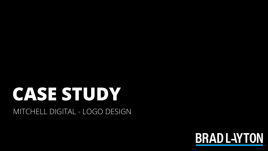### MITCHELL DIGITAL - LOGO DESIGN **CASE STUDY**

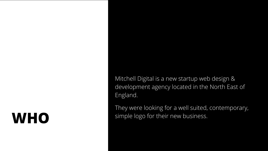Mitchell Digital is a new startup web design & development agency located in the North East of England.

They were looking for a well suited, contemporary, WHO**O** simple logo for their new business.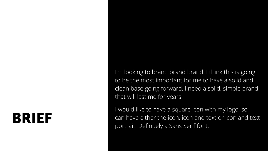I'm looking to brand brand brand. I think this is going to be the most important for me to have a solid and clean base going forward. I need a solid, simple brand that will last me for years.

I would like to have a square icon with my logo, so I **BRIEF** can have either the icon, icon and text or icon and text portrait. Definitely a Sans Serif font.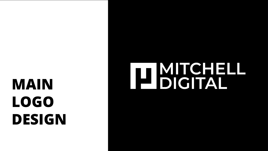### **MAIN LOGO DESIGN**

# HIMITCHELL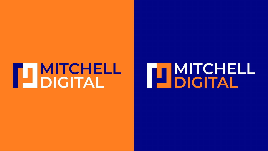## **TEMITCHELL**

## **TEMPELL**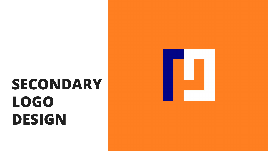### **SECONDARY LOGO DESIGN**

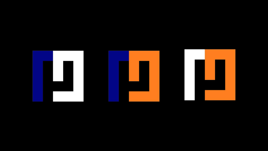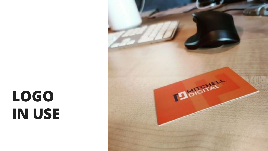### **LOGO IN USE**

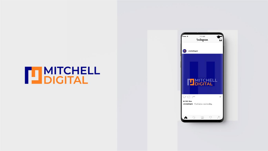### **FU MITCHELL**

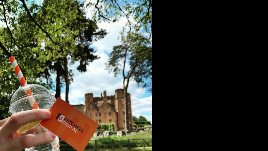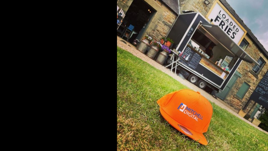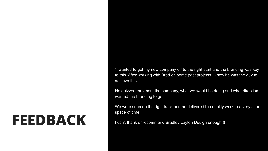### **FEEDBACK** I can't thank or recommend Bradley Layton Design enough!!!"

"I wanted to get my new company off to the right start and the branding was key to this. After working with Brad on some past projects I knew he was the guy to achieve this.

He quizzed me about the company, what we would be doing and what direction I wanted the branding to go.

We were soon on the right track and he delivered top quality work in a very short space of time.